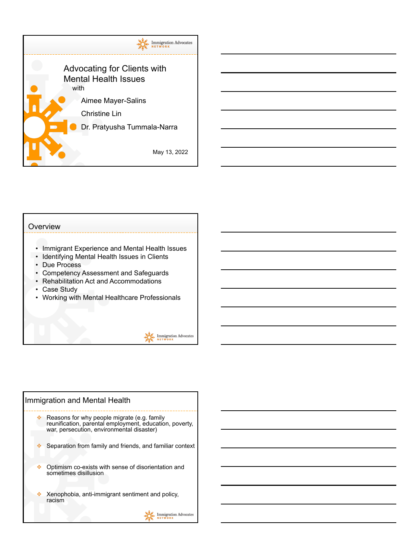

## **Overview** • Immigrant Experience and Mental Health Issues • Identifying Mental Health Issues in Clients • Due Process • Competency Assessment and Safeguards • Rehabilitation Act and Accommodations • Case Study • Working with Mental Healthcare Professionals **Immigration Advocates**

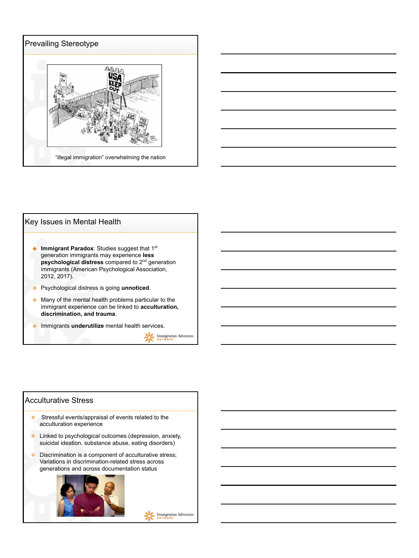



| Key Issues in Mental Health                                                                                                                                                                                                                     |
|-------------------------------------------------------------------------------------------------------------------------------------------------------------------------------------------------------------------------------------------------|
| <b>Immigrant Paradox:</b> Studies suggest that 1 <sup>st</sup><br>generation immigrants may experience less<br>psychological distress compared to 2 <sup>nd</sup> generation<br>immigrants (American Psychological Association,<br>2012, 2017). |
| Psychological distress is going unnoticed.                                                                                                                                                                                                      |
| Many of the mental health problems particular to the<br>immigrant experience can be linked to acculturation,<br>discrimination, and trauma.                                                                                                     |
| Immigrants underutilize mental health services.                                                                                                                                                                                                 |

 $\sum_{N \in \mathsf{T}}^{\mathsf{max}} \liminf_{N \in \mathsf{TWORK}}$ 

#### Acculturative Stress

- ❖ Stressful events/appraisal of events related to the acculturation experience
- ❖ Linked to psychological outcomes (depression, anxiety, suicidal ideation, substance abuse, eating disorders)
- ❖ Discrimination is a component of acculturative stress; Variations in discrimination-related stress across generations and across documentation status

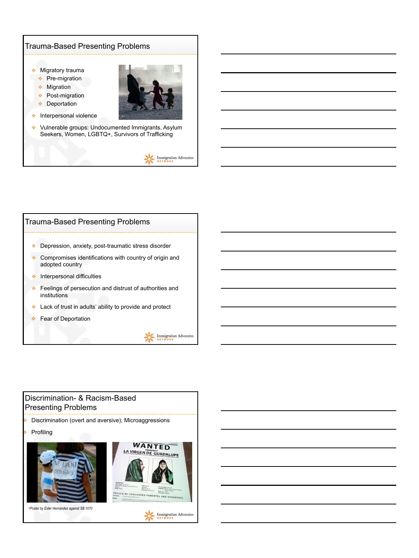#### Trauma-Based Presenting Problems

❖ Migratory trauma

- ❖ Pre-migration
- ❖ Migration
- ❖ Post-migration
- ❖ Deportation



- ❖ Interpersonal violence
- ❖ Vulnerable groups: Undocumented Immigrants, Asylum Seekers, Women, LGBTQ+, Survivors of Trafficking





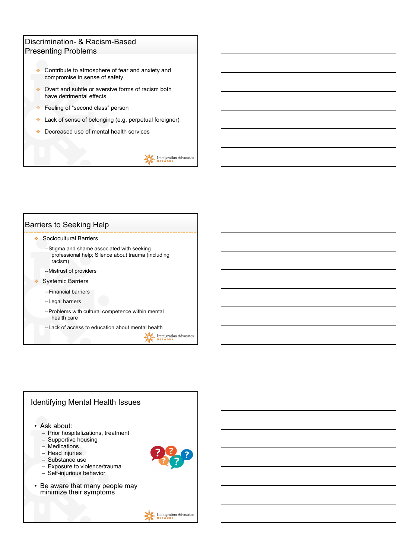#### Discrimination- & Racism-Based Presenting Problems

- ❖ Contribute to atmosphere of fear and anxiety and compromise in sense of safety
- ❖ Overt and subtle or aversive forms of racism both have detrimental effects
- ❖ Feeling of "second class" person
- ❖ Lack of sense of belonging (e.g. perpetual foreigner)
- ❖ Decreased use of mental health services



| <b>Barriers to Seeking Help</b> |                                                                                                             |  |
|---------------------------------|-------------------------------------------------------------------------------------------------------------|--|
|                                 | Sociocultural Barriers                                                                                      |  |
|                                 | --Stigma and shame associated with seeking<br>professional help; Silence about trauma (including<br>racism) |  |
|                                 | --Mistrust of providers                                                                                     |  |
|                                 | <b>Systemic Barriers</b>                                                                                    |  |
|                                 | --Financial barriers                                                                                        |  |
|                                 | --Legal barriers                                                                                            |  |
|                                 | --Problems with cultural competence within mental<br>health care                                            |  |
|                                 | -- Lack of access to education about mental health                                                          |  |
|                                 | ration Advocates                                                                                            |  |

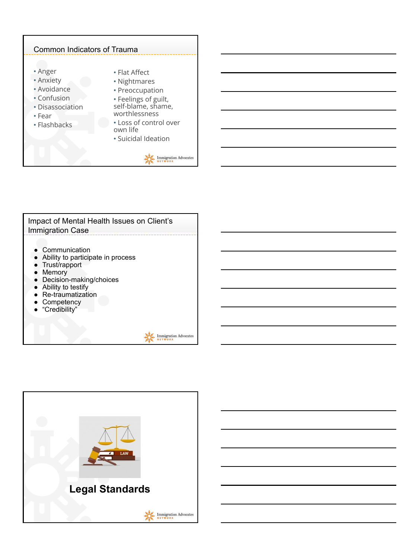



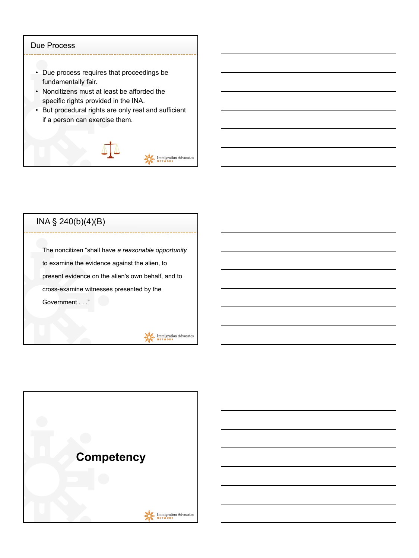#### Due Process

- Due process requires that proceedings be fundamentally fair.
- Noncitizens must at least be afforded the specific rights provided in the INA.
- But procedural rights are only real and sufficient if a person can exercise them.



## INA § 240(b)(4)(B)

The noncitizen "shall have *a reasonable opportunity* to examine the evidence against the alien, to present evidence on the alien's own behalf, and to cross-examine witnesses presented by the Government . . ."

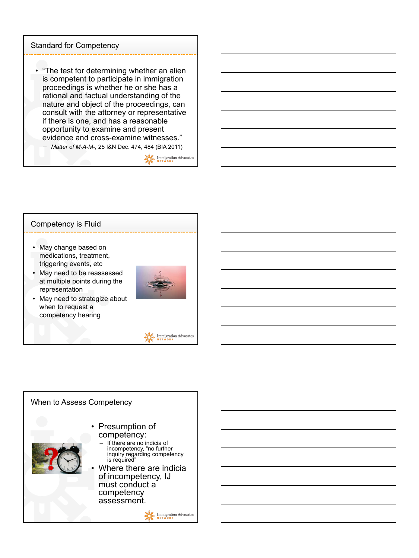#### Standard for Competency

• "The test for determining whether an alien is competent to participate in immigration proceedings is whether he or she has a rational and factual understanding of the nature and object of the proceedings, can consult with the attorney or representative if there is one, and has a reasonable opportunity to examine and present evidence and cross-examine witnesses."

– *Matter of M-A-M-,* 25 I&N Dec. 474, 484 (BIA 2011)

**AMEL Immigration Advocates** 

# Competency is Fluid

- May change based on medications, treatment, triggering events, etc
- May need to be reassessed at multiple points during the representation
- May need to strategize about when to request a competency hearing





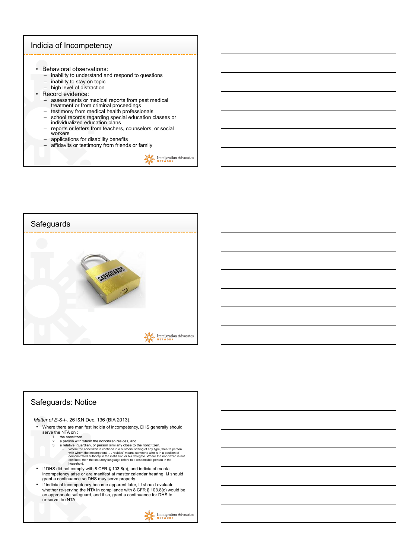



### Safeguards: Notice *Matter of E-S-I-,* 26 I&N Dec. 136 (BIA 2013). • Where there are manifest indicia of incompetency, DHS generally should<br>serve the NTA on :<br>1. the noncitizen<br>2. a person with whom the noncitizen resides, and<br>3. a relative, guardian, or person similarly close to the nonc 1. the noncitizen<br>
2. a person with whom the noncitizen resides, and<br>
3. a relative, guardian, or person similarly close to the noncitizen.<br>
- Where the noncitizen is confined in a custodial setting of any type, then "a pe • If DHS did not comply with 8 CFR § 103.8(c), and indicia of mental incompetency arise or are manifest at master calendar hearing, IJ should grant a continuance so DHS may serve properly. • If indicia of incompetency become apparent later, IJ should evaluate whether re-serving the NTA in compliance with 8 CFR § 103.8(c) would be an appropriate safeguard, and if so, grant a continuance for DHS to re-serve the NTA.Immigration Advocates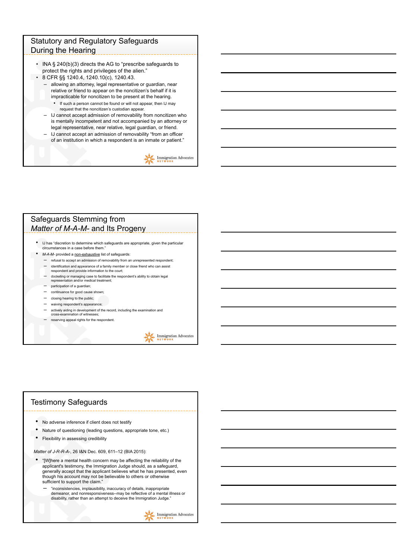#### Statutory and Regulatory Safeguards During the Hearing

- INA § 240(b)(3) directs the AG to "prescribe safeguards to protect the rights and privileges of the alien."
- 8 CFR §§ 1240.4, 1240.10(c), 1240.43.
	- allowing an attorney, legal representative or guardian, near relative or friend to appear on the noncitizen's behalf if it is impracticable for noncitizen to be present at the hearing.
		- If such a person cannot be found or will not appear, then IJ may request that the noncitizen's custodian appear.
	- IJ cannot accept admission of removability from noncitizen who is mentally incompetent and not accompanied by an attorney or legal representative, near relative, legal guardian, or friend.
	- IJ cannot accept an admission of removability "from an officer of an institution in which a respondent is an inmate or patient."

 $\sum_{N \in \mathsf{TW} \cup \mathsf{RK}}^{\bullet} \underset{\mathsf{N} \in \mathsf{TW} \cup \mathsf{RK}}{\text{Immigration} \; \text{Advocates}}$ 

#### Safeguards Stemming from *Matter of M-A-M-* and Its Progeny

- IJ has "discretion to determine which safeguards are appropriate, given the particular circumstances in a case before them."
- *M-A-M-* provided a non-exhaustive list of safeguards:
	- refusal to accept an admission of removability from an unrepresented respondent; – identification and appearance of a family member or close friend who can assist respondent and provide information to the court;
	-
	- docketing or managing case to facilitate the respondent's ability to obtain legal representation and/or medical treatment;
	- participation of a guardian;
	- continuance for good cause shown;
	- closing hearing to the public;
	- waiving respondent's appearance;
	- actively aiding in development of the record, including the examination and cross-examination of witnesses;
	- reserving appeal rights for the respondent.

**ALL** Immigration Advocates

#### Testimony Safeguards

- No adverse inference if client does not testify
- Nature of questioning (leading questions, appropriate tone, etc.)
- Flexibility in assessing credibility

*Matter of J-R-R-A-*, 26 I&N Dec. 609, 611–12 (BIA 2015):

- "[W]here a mental health concern may be affecting the reliability of the applicant's testimony, the Immigration Judge should, as a safeguard, generally accept that the applicant believes what he has presented, even though his account may not be believable to others or otherwise sufficient to support the claim."
	- "inconsistencies, implausibility, inaccuracy of details, inappropriate demeanor, and nonresponsiveness--may be reflective of a mental illness or disability, rather than an attempt to deceive the Immigration Judge."

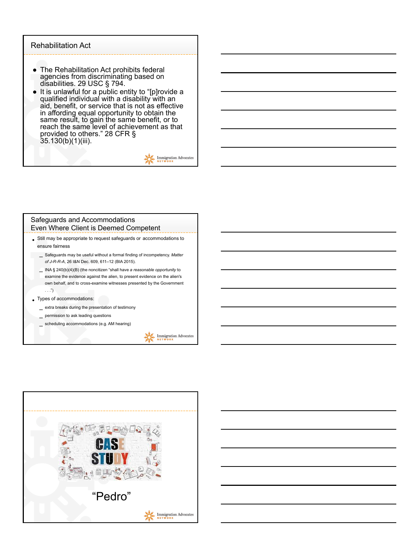#### Rehabilitation Act

- The Rehabilitation Act prohibits federal agencies from discriminating based on disabilities. 29 USC § 794.
- disabilities. 29 USC § 794. It is unlawful for a public entity to "[p]rovide a qualified individual with a disability with an aid, benefit, or service that is not as effective in affording equal opportunity to obtain the same result, to gain the same benefit, or to reach the same level of achievement as that provided to others." 28 CFR § 35.130(b)(1)(iii).

 $\frac{1}{N E T W 0 R K}$ 

#### Safeguards and Accommodations Even Where Client is Deemed Competent

- Still may be appropriate to request safeguards or accommodations to ensure fairness
	- Safeguards may be useful without a formal finding of incompetency. *Matter of J-R-R-A*, 26 I&N Dec. 609, 611–12 (BIA 2015). –
	- examine the evidence against the alien, to present evidence on the alien's own behalf, and to cross-examine witnesses presented by the Government . . .")
- Types of accommodations:
	- extra breaks during the presentation of testimony –
	- **permission to ask leading questions**
	- scheduling accommodations (e.g. AM hearing)

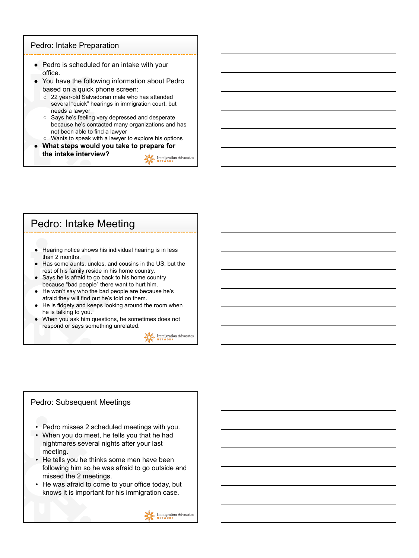#### Pedro: Intake Preparation

- Pedro is scheduled for an intake with your office.<br>You have the following information about Pedro
- based on a quick phone screen:
	- 22 year-old Salvadoran male who has attended several "quick" hearings in immigration court, but needs a lawyer
	- Says he's feeling very depressed and desperate because he's contacted many organizations and has not been able to find a lawyer
- Wants to speak with a lawyer to explore his options **● What steps would you take to prepare for the intake interview?**

 $\sum_{N \in \mathcal{I}}$  Immigration Advocates

## Pedro: Intake Meeting

- Hearing notice shows his individual hearing is in less than 2 months.
- Has some aunts, uncles, and cousins in the US, but the rest of his family reside in his home country.
- Says he is afraid to go back to his home country because "bad people" there want to hurt him.
- He won't say who the bad people are because he's afraid they will find out he's told on them.
- He is fidgety and keeps looking around the room when he is talking to you.<br>When you ask him questions, he sometimes does not
- respond or says something unrelated.

Immigration Advocates

#### Pedro: Subsequent Meetings

- Pedro misses 2 scheduled meetings with you.
- When you do meet, he tells you that he had nightmares several nights after your last meeting.
- He tells you he thinks some men have been following him so he was afraid to go outside and missed the 2 meetings.
- He was afraid to come to your office today, but knows it is important for his immigration case.

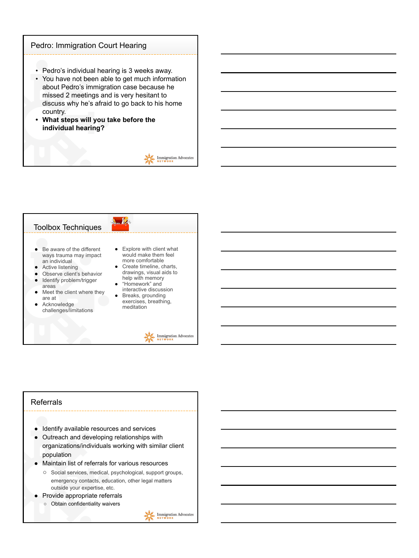#### Pedro: Immigration Court Hearing

- Pedro's individual hearing is 3 weeks away.
- You have not been able to get much information about Pedro's immigration case because he missed 2 meetings and is very hesitant to discuss why he's afraid to go back to his home country.
- **• What steps will you take before the individual hearing?**





## Referrals ● Identify available resources and services

- Outreach and developing relationships with organizations/individuals working with similar client population
- Maintain list of referrals for various resources
	- Social services, medical, psychological, support groups, emergency contacts, education, other legal matters outside your expertise, etc.
- Provide appropriate referrals
	- Obtain confidentiality waivers

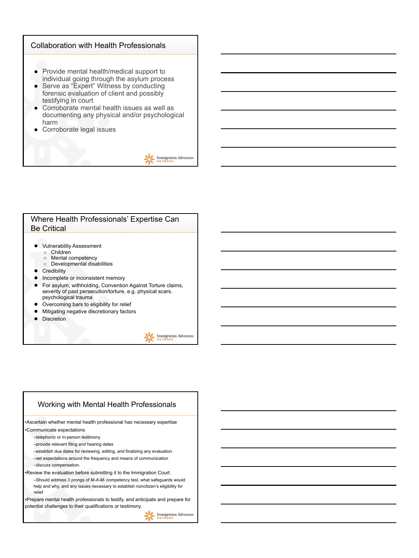#### Collaboration with Health Professionals

- Provide mental health/medical support to individual going through the asylum process
- Serve as "Expert" Witness by conducting forensic evaluation of client and possibly testifying in court
- Corroborate mental health issues as well as documenting any physical and/or psychological harm
- Corroborate legal issues



#### Where Health Professionals' Expertise Can Be Critical

- Vulnerability Assessment
	- Children<br>○ Mental co Mental competency
	- Developmental disabilities
- Credibility
- Incomplete or inconsistent memory
- For asylum, withholding, Convention Against Torture claims, severity of past persecution/torture, e.g. physical scars, psychological trauma
- Overcoming bars to eligibility for relief
- Mitigating negative discretionary factors
- Discretion

Immigration Advocates

#### Working with Mental Health Professionals •Ascertain whether mental health professional has necessary expertise •Communicate expectations –telephonic or in-person testimony –provide relevant filing and hearing dates –establish due dates for reviewing, editing, and finalizing any evaluation –set expectations around the frequency and means of communication –discuss compensation. •Review the evaluation before submitting it to the Immigration Court. –Should address 3 prongs of *M-A-M-* competency test, what safeguards would help and why, and any issues necessary to establish noncitizen's eligibility for relief •Prepare mental health professionals to testify, and anticipate and prepare for potential challenges to their qualifications or testimony.**ALC**. Immigration Advocates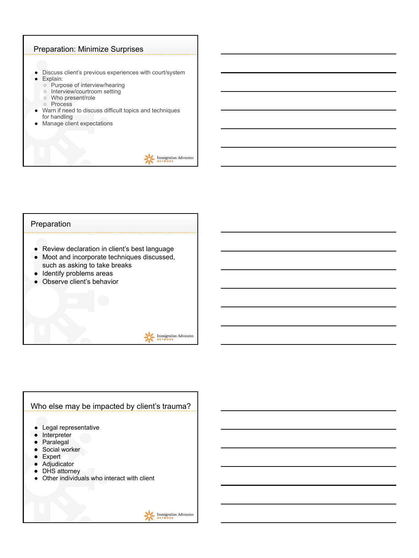#### Preparation: Minimize Surprises

- Discuss client's previous experiences with court/system Explain:
	- Purpose of interview/hearing
	- Interview/courtroom setting
	- Who present/role
	- Process
- Warn if need to discuss difficult topics and techniques for handling
- Manage client expectations